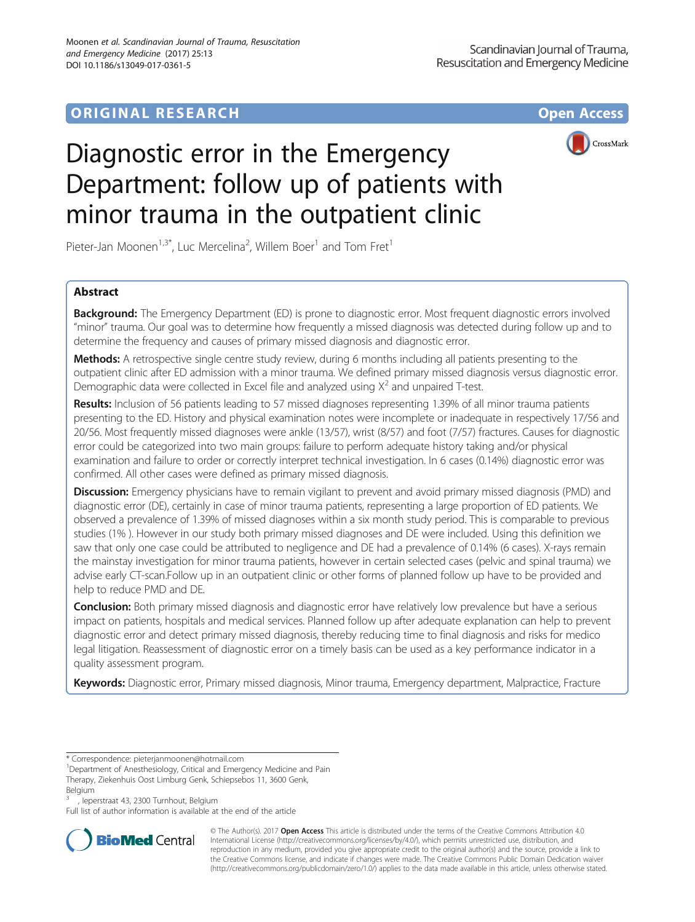# **ORIGINAL RESEARCH CONFIDENTIAL CONFIDENTIAL CONFIDENTIAL CONFIDENTIAL CONFIDENTIAL CONFIDENTIAL CONFIDENTIAL CONFIDENTIAL CONFIDENTIAL CONFIDENTIAL CONFIDENTIAL CONFIDENTIAL CONFIDENTIAL CONFIDENTIAL CONFIDENTIAL CONFIDEN**



# Diagnostic error in the Emergency Department: follow up of patients with minor trauma in the outpatient clinic

Pieter-Jan Moonen<sup>1,3\*</sup>, Luc Mercelina<sup>2</sup>, Willem Boer<sup>1</sup> and Tom Fret<sup>1</sup>

# Abstract

Background: The Emergency Department (ED) is prone to diagnostic error. Most frequent diagnostic errors involved "minor" trauma. Our goal was to determine how frequently a missed diagnosis was detected during follow up and to determine the frequency and causes of primary missed diagnosis and diagnostic error.

Methods: A retrospective single centre study review, during 6 months including all patients presenting to the outpatient clinic after ED admission with a minor trauma. We defined primary missed diagnosis versus diagnostic error. Demographic data were collected in Excel file and analyzed using  $X^2$  and unpaired T-test.

Results: Inclusion of 56 patients leading to 57 missed diagnoses representing 1.39% of all minor trauma patients presenting to the ED. History and physical examination notes were incomplete or inadequate in respectively 17/56 and 20/56. Most frequently missed diagnoses were ankle (13/57), wrist (8/57) and foot (7/57) fractures. Causes for diagnostic error could be categorized into two main groups: failure to perform adequate history taking and/or physical examination and failure to order or correctly interpret technical investigation. In 6 cases (0.14%) diagnostic error was confirmed. All other cases were defined as primary missed diagnosis.

Discussion: Emergency physicians have to remain vigilant to prevent and avoid primary missed diagnosis (PMD) and diagnostic error (DE), certainly in case of minor trauma patients, representing a large proportion of ED patients. We observed a prevalence of 1.39% of missed diagnoses within a six month study period. This is comparable to previous studies (1% ). However in our study both primary missed diagnoses and DE were included. Using this definition we saw that only one case could be attributed to negligence and DE had a prevalence of 0.14% (6 cases). X-rays remain the mainstay investigation for minor trauma patients, however in certain selected cases (pelvic and spinal trauma) we advise early CT-scan.Follow up in an outpatient clinic or other forms of planned follow up have to be provided and help to reduce PMD and DE.

Conclusion: Both primary missed diagnosis and diagnostic error have relatively low prevalence but have a serious impact on patients, hospitals and medical services. Planned follow up after adequate explanation can help to prevent diagnostic error and detect primary missed diagnosis, thereby reducing time to final diagnosis and risks for medico legal litigation. Reassessment of diagnostic error on a timely basis can be used as a key performance indicator in a quality assessment program.

Keywords: Diagnostic error, Primary missed diagnosis, Minor trauma, Emergency department, Malpractice, Fracture

<sup>3</sup> , Ieperstraat 43, 2300 Turnhout, Belgium

Full list of author information is available at the end of the article



© The Author(s). 2017 **Open Access** This article is distributed under the terms of the Creative Commons Attribution 4.0 International License [\(http://creativecommons.org/licenses/by/4.0/](http://creativecommons.org/licenses/by/4.0/)), which permits unrestricted use, distribution, and reproduction in any medium, provided you give appropriate credit to the original author(s) and the source, provide a link to the Creative Commons license, and indicate if changes were made. The Creative Commons Public Domain Dedication waiver [\(http://creativecommons.org/publicdomain/zero/1.0/](http://creativecommons.org/publicdomain/zero/1.0/)) applies to the data made available in this article, unless otherwise stated.

<sup>\*</sup> Correspondence: [pieterjanmoonen@hotmail.com](mailto:pieterjanmoonen@hotmail.com) <sup>1</sup>

<sup>&</sup>lt;sup>1</sup>Department of Anesthesiology, Critical and Emergency Medicine and Pain Therapy, Ziekenhuis Oost Limburg Genk, Schiepsebos 11, 3600 Genk, Belgium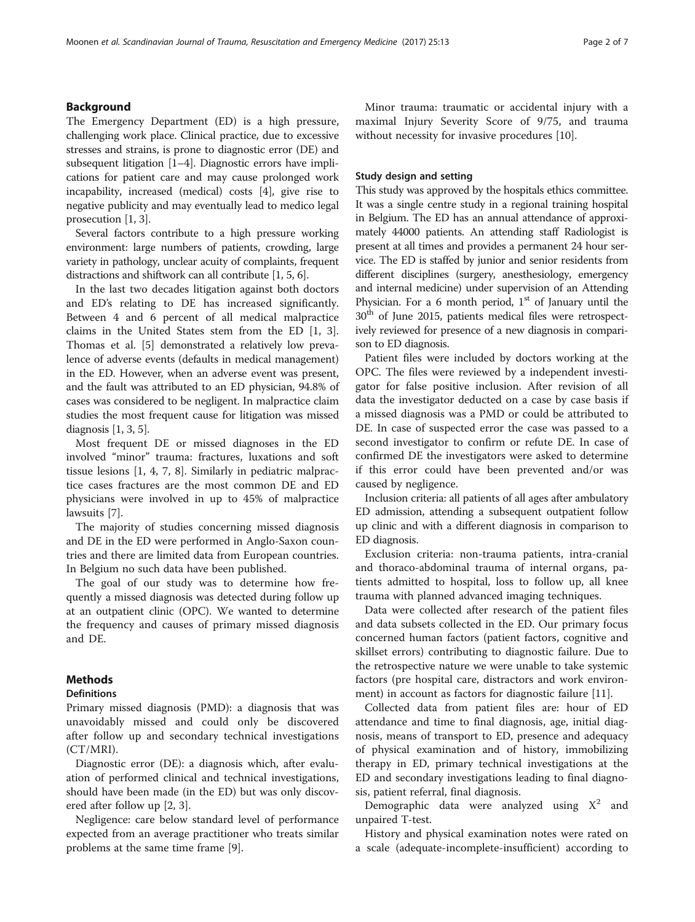# Background

The Emergency Department (ED) is a high pressure, challenging work place. Clinical practice, due to excessive stresses and strains, is prone to diagnostic error (DE) and subsequent litigation [\[1](#page-5-0)–[4\]](#page-5-0). Diagnostic errors have implications for patient care and may cause prolonged work incapability, increased (medical) costs [\[4](#page-5-0)], give rise to negative publicity and may eventually lead to medico legal prosecution [[1, 3](#page-5-0)].

Several factors contribute to a high pressure working environment: large numbers of patients, crowding, large variety in pathology, unclear acuity of complaints, frequent distractions and shiftwork can all contribute [\[1, 5](#page-5-0), [6\]](#page-5-0).

In the last two decades litigation against both doctors and ED's relating to DE has increased significantly. Between 4 and 6 percent of all medical malpractice claims in the United States stem from the ED [\[1](#page-5-0), [3](#page-5-0)]. Thomas et al. [\[5](#page-5-0)] demonstrated a relatively low prevalence of adverse events (defaults in medical management) in the ED. However, when an adverse event was present, and the fault was attributed to an ED physician, 94.8% of cases was considered to be negligent. In malpractice claim studies the most frequent cause for litigation was missed diagnosis [\[1](#page-5-0), [3](#page-5-0), [5](#page-5-0)].

Most frequent DE or missed diagnoses in the ED involved "minor" trauma: fractures, luxations and soft tissue lesions [[1, 4](#page-5-0), [7](#page-5-0), [8\]](#page-5-0). Similarly in pediatric malpractice cases fractures are the most common DE and ED physicians were involved in up to 45% of malpractice lawsuits [\[7](#page-5-0)].

The majority of studies concerning missed diagnosis and DE in the ED were performed in Anglo-Saxon countries and there are limited data from European countries. In Belgium no such data have been published.

The goal of our study was to determine how frequently a missed diagnosis was detected during follow up at an outpatient clinic (OPC). We wanted to determine the frequency and causes of primary missed diagnosis and DE.

# **Methods**

# **Definitions**

Primary missed diagnosis (PMD): a diagnosis that was unavoidably missed and could only be discovered after follow up and secondary technical investigations (CT/MRI).

Diagnostic error (DE): a diagnosis which, after evaluation of performed clinical and technical investigations, should have been made (in the ED) but was only discovered after follow up [\[2](#page-5-0), [3](#page-5-0)].

Negligence: care below standard level of performance expected from an average practitioner who treats similar problems at the same time frame [[9](#page-5-0)].

Minor trauma: traumatic or accidental injury with a maximal Injury Severity Score of 9/75, and trauma without necessity for invasive procedures [[10](#page-5-0)].

# Study design and setting

This study was approved by the hospitals ethics committee. It was a single centre study in a regional training hospital in Belgium. The ED has an annual attendance of approximately 44000 patients. An attending staff Radiologist is present at all times and provides a permanent 24 hour service. The ED is staffed by junior and senior residents from different disciplines (surgery, anesthesiology, emergency and internal medicine) under supervision of an Attending Physician. For a 6 month period,  $1<sup>st</sup>$  of January until the 30<sup>th</sup> of June 2015, patients medical files were retrospectively reviewed for presence of a new diagnosis in comparison to ED diagnosis.

Patient files were included by doctors working at the OPC. The files were reviewed by a independent investigator for false positive inclusion. After revision of all data the investigator deducted on a case by case basis if a missed diagnosis was a PMD or could be attributed to DE. In case of suspected error the case was passed to a second investigator to confirm or refute DE. In case of confirmed DE the investigators were asked to determine if this error could have been prevented and/or was caused by negligence.

Inclusion criteria: all patients of all ages after ambulatory ED admission, attending a subsequent outpatient follow up clinic and with a different diagnosis in comparison to ED diagnosis.

Exclusion criteria: non-trauma patients, intra-cranial and thoraco-abdominal trauma of internal organs, patients admitted to hospital, loss to follow up, all knee trauma with planned advanced imaging techniques.

Data were collected after research of the patient files and data subsets collected in the ED. Our primary focus concerned human factors (patient factors, cognitive and skillset errors) contributing to diagnostic failure. Due to the retrospective nature we were unable to take systemic factors (pre hospital care, distractors and work environment) in account as factors for diagnostic failure [\[11](#page-6-0)].

Collected data from patient files are: hour of ED attendance and time to final diagnosis, age, initial diagnosis, means of transport to ED, presence and adequacy of physical examination and of history, immobilizing therapy in ED, primary technical investigations at the ED and secondary investigations leading to final diagnosis, patient referral, final diagnosis.

Demographic data were analyzed using  $X^2$  and unpaired T-test.

History and physical examination notes were rated on a scale (adequate-incomplete-insufficient) according to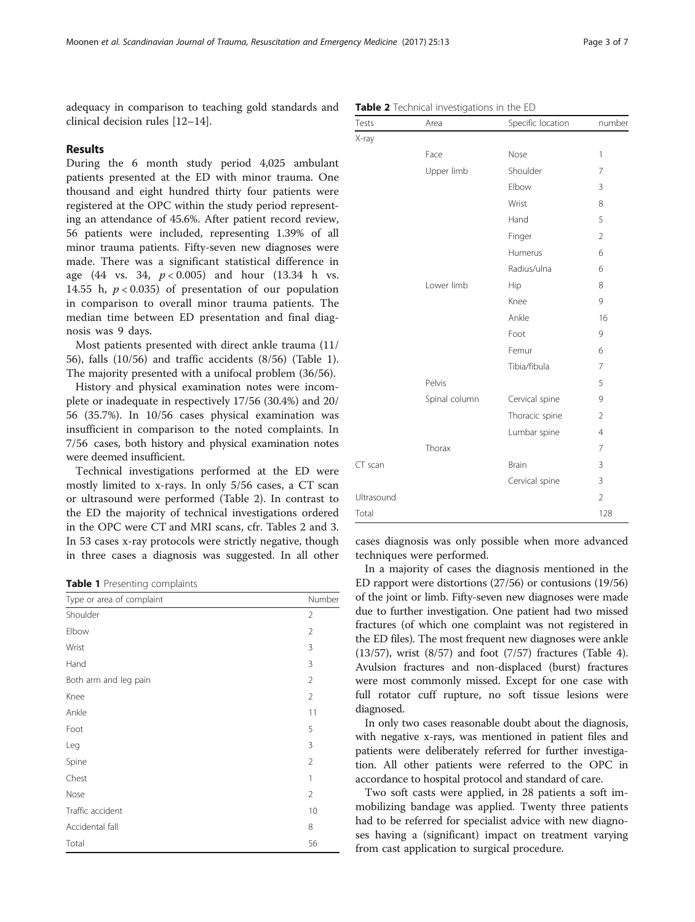adequacy in comparison to teaching gold standards and clinical decision rules [[12](#page-6-0)–[14](#page-6-0)].

# Results

During the 6 month study period 4,025 ambulant patients presented at the ED with minor trauma. One thousand and eight hundred thirty four patients were registered at the OPC within the study period representing an attendance of 45.6%. After patient record review, 56 patients were included, representing 1.39% of all minor trauma patients. Fifty-seven new diagnoses were made. There was a significant statistical difference in age  $(44 \text{ vs. } 34, \text{ p} < 0.005)$  and hour  $(13.34 \text{ h vs. } 10.005)$ 14.55 h,  $p < 0.035$ ) of presentation of our population in comparison to overall minor trauma patients. The median time between ED presentation and final diagnosis was 9 days.

Most patients presented with direct ankle trauma (11/ 56), falls (10/56) and traffic accidents (8/56) (Table 1). The majority presented with a unifocal problem (36/56).

History and physical examination notes were incomplete or inadequate in respectively 17/56 (30.4%) and 20/ 56 (35.7%). In 10/56 cases physical examination was insufficient in comparison to the noted complaints. In 7/56 cases, both history and physical examination notes were deemed insufficient.

Technical investigations performed at the ED were mostly limited to x-rays. In only 5/56 cases, a CT scan or ultrasound were performed (Table 2). In contrast to the ED the majority of technical investigations ordered in the OPC were CT and MRI scans, cfr. Tables 2 and [3](#page-3-0). In 53 cases x-ray protocols were strictly negative, though in three cases a diagnosis was suggested. In all other

Table 1 Presenting complaints

| Type or area of complaint | Number         |
|---------------------------|----------------|
| Shoulder                  | $\overline{2}$ |
| Elbow                     | $\overline{2}$ |
| Wrist                     | 3              |
| Hand                      | 3              |
| Both arm and leg pain     | $\overline{2}$ |
| Knee                      | $\overline{2}$ |
| Ankle                     | 11             |
| Foot                      | 5              |
| Leg                       | 3              |
| Spine                     | $\overline{2}$ |
| Chest                     | 1              |
| Nose                      | $\overline{2}$ |
| Traffic accident          | 10             |
| Accidental fall           | 8              |
| Total                     | 56             |

|  |  | Table 2 Technical investigations in the ED |  |  |  |
|--|--|--------------------------------------------|--|--|--|
|--|--|--------------------------------------------|--|--|--|

| Tests      | Area          | Specific location | number         |
|------------|---------------|-------------------|----------------|
| X-ray      |               |                   |                |
|            | Face          | Nose              | 1              |
|            | Upper limb    | Shoulder          | 7              |
|            |               | Elbow             | 3              |
|            |               | Wrist             | 8              |
|            |               | Hand              | 5              |
|            |               | Finger            | $\overline{2}$ |
|            |               | Humerus           | 6              |
|            |               | Radius/ulna       | 6              |
|            | Lower limb    | Hip               | 8              |
|            |               | Knee              | 9              |
|            |               | Ankle             | 16             |
|            |               | Foot              | 9              |
|            |               | Femur             | 6              |
|            |               | Tibia/fibula      | 7              |
|            | Pelvis        |                   | 5              |
|            | Spinal column | Cervical spine    | 9              |
|            |               | Thoracic spine    | 2              |
|            |               | Lumbar spine      | $\overline{4}$ |
|            | Thorax        |                   | 7              |
| CT scan    |               | Brain             | 3              |
|            |               | Cervical spine    | 3              |
| Ultrasound |               |                   | $\overline{2}$ |
| Total      |               |                   | 128            |

cases diagnosis was only possible when more advanced techniques were performed.

In a majority of cases the diagnosis mentioned in the ED rapport were distortions (27/56) or contusions (19/56) of the joint or limb. Fifty-seven new diagnoses were made due to further investigation. One patient had two missed fractures (of which one complaint was not registered in the ED files). The most frequent new diagnoses were ankle (13/57), wrist (8/57) and foot (7/57) fractures (Table [4](#page-3-0)). Avulsion fractures and non-displaced (burst) fractures were most commonly missed. Except for one case with full rotator cuff rupture, no soft tissue lesions were diagnosed.

In only two cases reasonable doubt about the diagnosis, with negative x-rays, was mentioned in patient files and patients were deliberately referred for further investigation. All other patients were referred to the OPC in accordance to hospital protocol and standard of care.

Two soft casts were applied, in 28 patients a soft immobilizing bandage was applied. Twenty three patients had to be referred for specialist advice with new diagnoses having a (significant) impact on treatment varying from cast application to surgical procedure.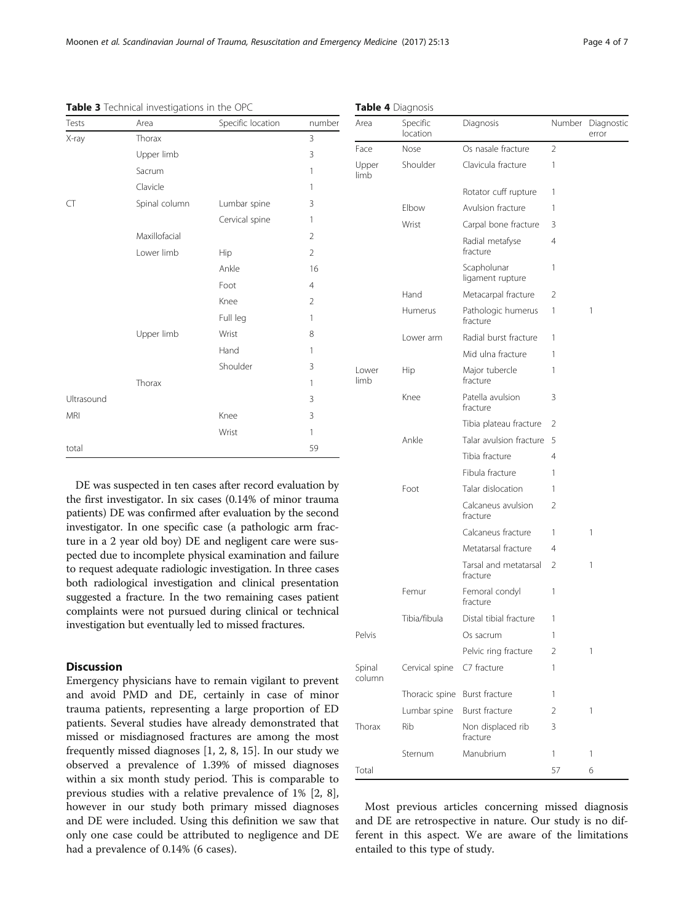Table 4 Diagnosis

| Tests      | Area          | Specific location | number         |
|------------|---------------|-------------------|----------------|
| X-ray      | Thorax        |                   | 3              |
|            | Upper limb    |                   | 3              |
|            | Sacrum        |                   | 1              |
|            | Clavicle      |                   | 1              |
| CT         | Spinal column | Lumbar spine      | 3              |
|            |               | Cervical spine    | 1              |
|            | Maxillofacial |                   | $\overline{2}$ |
|            | Lower limb    | Hip               | $\overline{2}$ |
|            |               | Ankle             | 16             |
|            |               | Foot              | $\overline{4}$ |
|            |               | Knee              | $\overline{2}$ |
|            |               | Full leg          | 1              |
|            | Upper limb    | Wrist             | 8              |
|            |               | Hand              | 1              |
|            |               | Shoulder          | 3              |
|            | Thorax        |                   | 1              |
| Ultrasound |               |                   | 3              |
| <b>MRI</b> |               | Knee              | 3              |
|            |               | Wrist             | 1              |
| total      |               |                   | 59             |

<span id="page-3-0"></span>Table 3 Technical investigations in the OPC

DE was suspected in ten cases after record evaluation by the first investigator. In six cases (0.14% of minor trauma patients) DE was confirmed after evaluation by the second investigator. In one specific case (a pathologic arm fracture in a 2 year old boy) DE and negligent care were suspected due to incomplete physical examination and failure to request adequate radiologic investigation. In three cases both radiological investigation and clinical presentation suggested a fracture. In the two remaining cases patient complaints were not pursued during clinical or technical investigation but eventually led to missed fractures.

# **Discussion**

Emergency physicians have to remain vigilant to prevent and avoid PMD and DE, certainly in case of minor trauma patients, representing a large proportion of ED patients. Several studies have already demonstrated that missed or misdiagnosed fractures are among the most frequently missed diagnoses [[1](#page-5-0), [2](#page-5-0), [8](#page-5-0), [15](#page-6-0)]. In our study we observed a prevalence of 1.39% of missed diagnoses within a six month study period. This is comparable to previous studies with a relative prevalence of 1% [\[2](#page-5-0), [8](#page-5-0)], however in our study both primary missed diagnoses and DE were included. Using this definition we saw that only one case could be attributed to negligence and DE had a prevalence of 0.14% (6 cases).

| Area             | Specific<br>location | Diagnosis                         | Number | Diagnostic<br>error |
|------------------|----------------------|-----------------------------------|--------|---------------------|
| Face             | Nose                 | Os nasale fracture                | 2      |                     |
| Upper<br>limb    | Shoulder             | Clavicula fracture                | 1      |                     |
|                  |                      | Rotator cuff rupture              | 1      |                     |
|                  | Elbow                | Avulsion fracture                 | 1      |                     |
|                  | Wrist                | Carpal bone fracture              | 3      |                     |
|                  |                      | Radial metafyse<br>fracture       | 4      |                     |
|                  |                      | Scapholunar<br>ligament rupture   | 1      |                     |
|                  | Hand                 | Metacarpal fracture               | 2      |                     |
|                  | Humerus              | Pathologic humerus<br>fracture    | 1      | 1                   |
|                  | Lower arm            | Radial burst fracture             | 1      |                     |
|                  |                      | Mid ulna fracture                 | 1      |                     |
| Lower<br>limb    | Hip                  | Major tubercle<br>fracture        | 1      |                     |
|                  | Knee                 | Patella avulsion<br>fracture      | 3      |                     |
|                  |                      | Tibia plateau fracture            | 2      |                     |
|                  | Ankle                | Talar avulsion fracture           | 5      |                     |
|                  |                      | Tibia fracture                    | 4      |                     |
|                  |                      | Fibula fracture                   | 1      |                     |
|                  | Foot                 | Talar dislocation                 | 1      |                     |
|                  |                      | Calcaneus avulsion<br>fracture    | 2      |                     |
|                  |                      | Calcaneus fracture                | 1      | 1                   |
|                  |                      | Metatarsal fracture               | 4      |                     |
|                  |                      | Tarsal and metatarsal<br>fracture | 2      | 1                   |
|                  | Femur                | Femoral condyl<br>fracture        | 1      |                     |
|                  | Tibia/fibula         | Distal tibial fracture            | 1      |                     |
| Pelvis           |                      | Os sacrum                         | 1      |                     |
|                  |                      | Pelvic ring fracture              | 2      | 1                   |
| Spinal<br>column | Cervical spine       | C7 fracture                       | 1      |                     |
|                  | Thoracic spine       | Burst fracture                    | 1      |                     |
|                  | Lumbar spine         | Burst fracture                    | 2      | 1                   |
| Thorax           | Rib                  | Non displaced rib<br>fracture     | 3      |                     |
|                  | Sternum              | Manubrium                         | 1      | 1                   |
| Total            |                      |                                   | 57     | 6                   |

Most previous articles concerning missed diagnosis and DE are retrospective in nature. Our study is no different in this aspect. We are aware of the limitations entailed to this type of study.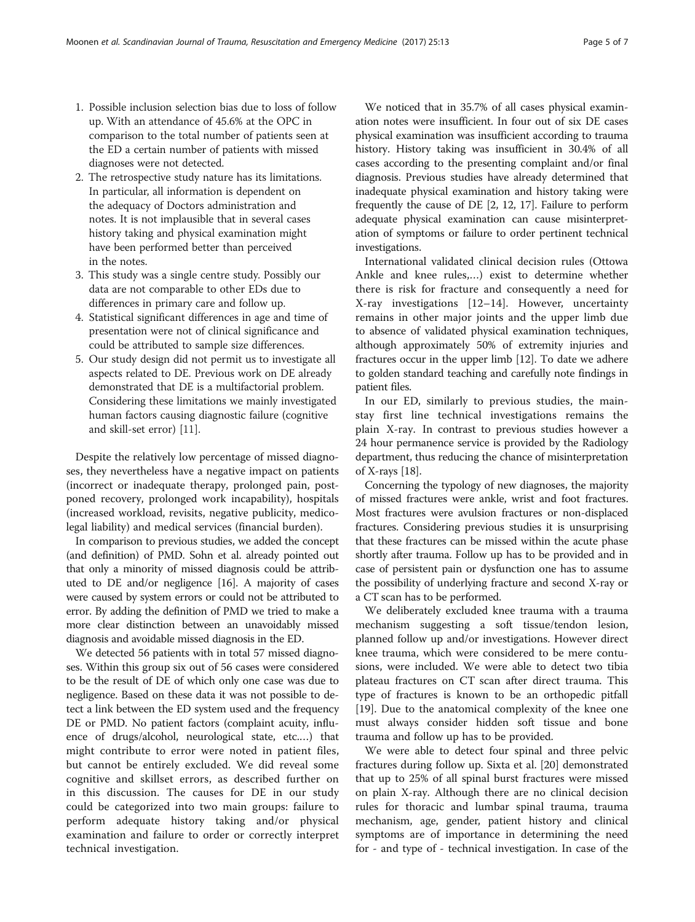- 1. Possible inclusion selection bias due to loss of follow up. With an attendance of 45.6% at the OPC in comparison to the total number of patients seen at the ED a certain number of patients with missed diagnoses were not detected.
- 2. The retrospective study nature has its limitations. In particular, all information is dependent on the adequacy of Doctors administration and notes. It is not implausible that in several cases history taking and physical examination might have been performed better than perceived in the notes.
- 3. This study was a single centre study. Possibly our data are not comparable to other EDs due to differences in primary care and follow up.
- 4. Statistical significant differences in age and time of presentation were not of clinical significance and could be attributed to sample size differences.
- 5. Our study design did not permit us to investigate all aspects related to DE. Previous work on DE already demonstrated that DE is a multifactorial problem. Considering these limitations we mainly investigated human factors causing diagnostic failure (cognitive and skill-set error) [\[11\]](#page-6-0).

Despite the relatively low percentage of missed diagnoses, they nevertheless have a negative impact on patients (incorrect or inadequate therapy, prolonged pain, postponed recovery, prolonged work incapability), hospitals (increased workload, revisits, negative publicity, medicolegal liability) and medical services (financial burden).

In comparison to previous studies, we added the concept (and definition) of PMD. Sohn et al. already pointed out that only a minority of missed diagnosis could be attributed to DE and/or negligence [\[16](#page-6-0)]. A majority of cases were caused by system errors or could not be attributed to error. By adding the definition of PMD we tried to make a more clear distinction between an unavoidably missed diagnosis and avoidable missed diagnosis in the ED.

We detected 56 patients with in total 57 missed diagnoses. Within this group six out of 56 cases were considered to be the result of DE of which only one case was due to negligence. Based on these data it was not possible to detect a link between the ED system used and the frequency DE or PMD. No patient factors (complaint acuity, influence of drugs/alcohol, neurological state, etc.…) that might contribute to error were noted in patient files, but cannot be entirely excluded. We did reveal some cognitive and skillset errors, as described further on in this discussion. The causes for DE in our study could be categorized into two main groups: failure to perform adequate history taking and/or physical examination and failure to order or correctly interpret technical investigation.

We noticed that in 35.7% of all cases physical examination notes were insufficient. In four out of six DE cases physical examination was insufficient according to trauma history. History taking was insufficient in 30.4% of all cases according to the presenting complaint and/or final diagnosis. Previous studies have already determined that inadequate physical examination and history taking were frequently the cause of DE [\[2](#page-5-0), [12](#page-6-0), [17](#page-6-0)]. Failure to perform adequate physical examination can cause misinterpretation of symptoms or failure to order pertinent technical investigations.

International validated clinical decision rules (Ottowa Ankle and knee rules,…) exist to determine whether there is risk for fracture and consequently a need for X-ray investigations [\[12](#page-6-0)–[14](#page-6-0)]. However, uncertainty remains in other major joints and the upper limb due to absence of validated physical examination techniques, although approximately 50% of extremity injuries and fractures occur in the upper limb [\[12\]](#page-6-0). To date we adhere to golden standard teaching and carefully note findings in patient files.

In our ED, similarly to previous studies, the mainstay first line technical investigations remains the plain X-ray. In contrast to previous studies however a 24 hour permanence service is provided by the Radiology department, thus reducing the chance of misinterpretation of X-rays [[18](#page-6-0)].

Concerning the typology of new diagnoses, the majority of missed fractures were ankle, wrist and foot fractures. Most fractures were avulsion fractures or non-displaced fractures. Considering previous studies it is unsurprising that these fractures can be missed within the acute phase shortly after trauma. Follow up has to be provided and in case of persistent pain or dysfunction one has to assume the possibility of underlying fracture and second X-ray or a CT scan has to be performed.

We deliberately excluded knee trauma with a trauma mechanism suggesting a soft tissue/tendon lesion, planned follow up and/or investigations. However direct knee trauma, which were considered to be mere contusions, were included. We were able to detect two tibia plateau fractures on CT scan after direct trauma. This type of fractures is known to be an orthopedic pitfall [[19\]](#page-6-0). Due to the anatomical complexity of the knee one must always consider hidden soft tissue and bone trauma and follow up has to be provided.

We were able to detect four spinal and three pelvic fractures during follow up. Sixta et al. [\[20](#page-6-0)] demonstrated that up to 25% of all spinal burst fractures were missed on plain X-ray. Although there are no clinical decision rules for thoracic and lumbar spinal trauma, trauma mechanism, age, gender, patient history and clinical symptoms are of importance in determining the need for - and type of - technical investigation. In case of the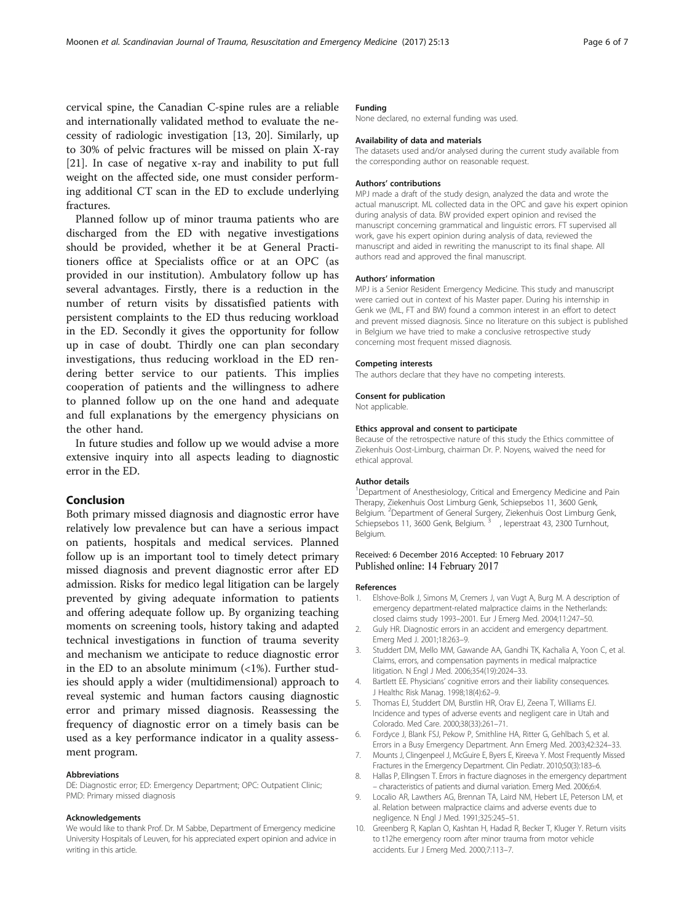<span id="page-5-0"></span>cervical spine, the Canadian C-spine rules are a reliable and internationally validated method to evaluate the necessity of radiologic investigation [[13](#page-6-0), [20](#page-6-0)]. Similarly, up to 30% of pelvic fractures will be missed on plain X-ray [[21\]](#page-6-0). In case of negative x-ray and inability to put full weight on the affected side, one must consider performing additional CT scan in the ED to exclude underlying fractures.

Planned follow up of minor trauma patients who are discharged from the ED with negative investigations should be provided, whether it be at General Practitioners office at Specialists office or at an OPC (as provided in our institution). Ambulatory follow up has several advantages. Firstly, there is a reduction in the number of return visits by dissatisfied patients with persistent complaints to the ED thus reducing workload in the ED. Secondly it gives the opportunity for follow up in case of doubt. Thirdly one can plan secondary investigations, thus reducing workload in the ED rendering better service to our patients. This implies cooperation of patients and the willingness to adhere to planned follow up on the one hand and adequate and full explanations by the emergency physicians on the other hand.

In future studies and follow up we would advise a more extensive inquiry into all aspects leading to diagnostic error in the ED.

# Conclusion

Both primary missed diagnosis and diagnostic error have relatively low prevalence but can have a serious impact on patients, hospitals and medical services. Planned follow up is an important tool to timely detect primary missed diagnosis and prevent diagnostic error after ED admission. Risks for medico legal litigation can be largely prevented by giving adequate information to patients and offering adequate follow up. By organizing teaching moments on screening tools, history taking and adapted technical investigations in function of trauma severity and mechanism we anticipate to reduce diagnostic error in the ED to an absolute minimum  $\left($  <1%). Further studies should apply a wider (multidimensional) approach to reveal systemic and human factors causing diagnostic error and primary missed diagnosis. Reassessing the frequency of diagnostic error on a timely basis can be used as a key performance indicator in a quality assessment program.

## Abbreviations

DE: Diagnostic error; ED: Emergency Department; OPC: Outpatient Clinic; PMD: Primary missed diagnosis

### Acknowledgements

We would like to thank Prof. Dr. M Sabbe, Department of Emergency medicine University Hospitals of Leuven, for his appreciated expert opinion and advice in writing in this article.

# Funding

None declared, no external funding was used.

#### Availability of data and materials

The datasets used and/or analysed during the current study available from the corresponding author on reasonable request.

#### Authors' contributions

MPJ made a draft of the study design, analyzed the data and wrote the actual manuscript. ML collected data in the OPC and gave his expert opinion during analysis of data. BW provided expert opinion and revised the manuscript concerning grammatical and linguistic errors. FT supervised all work, gave his expert opinion during analysis of data, reviewed the manuscript and aided in rewriting the manuscript to its final shape. All authors read and approved the final manuscript.

#### Authors' information

MPJ is a Senior Resident Emergency Medicine. This study and manuscript were carried out in context of his Master paper. During his internship in Genk we (ML, FT and BW) found a common interest in an effort to detect and prevent missed diagnosis. Since no literature on this subject is published in Belgium we have tried to make a conclusive retrospective study concerning most frequent missed diagnosis.

#### Competing interests

The authors declare that they have no competing interests.

#### Consent for publication

Not applicable.

#### Ethics approval and consent to participate

Because of the retrospective nature of this study the Ethics committee of Ziekenhuis Oost-Limburg, chairman Dr. P. Noyens, waived the need for ethical approval.

#### Author details

<sup>1</sup>Department of Anesthesiology, Critical and Emergency Medicine and Pain Therapy, Ziekenhuis Oost Limburg Genk, Schiepsebos 11, 3600 Genk, Belgium. <sup>2</sup>Department of General Surgery, Ziekenhuis Oost Limburg Genk, Schiepsebos 11, 3600 Genk, Belgium.<sup>3</sup>, leperstraat 43, 2300 Turnhout, Belgium.

### Received: 6 December 2016 Accepted: 10 February 2017 Published online: 14 February 2017

#### References

- 1. Elshove-Bolk J, Simons M, Cremers J, van Vugt A, Burg M. A description of emergency department-related malpractice claims in the Netherlands: closed claims study 1993–2001. Eur J Emerg Med. 2004;11:247–50.
- 2. Guly HR. Diagnostic errors in an accident and emergency department. Emerg Med J. 2001;18:263–9.
- 3. Studdert DM, Mello MM, Gawande AA, Gandhi TK, Kachalia A, Yoon C, et al. Claims, errors, and compensation payments in medical malpractice litigation. N Engl J Med. 2006;354(19):2024–33.
- 4. Bartlett EE. Physicians' cognitive errors and their liability consequences. J Healthc Risk Manag. 1998;18(4):62–9.
- 5. Thomas EJ, Studdert DM, Burstlin HR, Orav EJ, Zeena T, Williams EJ. Incidence and types of adverse events and negligent care in Utah and Colorado. Med Care. 2000;38(33):261–71.
- 6. Fordyce J, Blank FSJ, Pekow P, Smithline HA, Ritter G, Gehlbach S, et al. Errors in a Busy Emergency Department. Ann Emerg Med. 2003;42:324–33.
- Mounts J, Clingenpeel J, McGuire E, Byers E, Kireeva Y. Most Frequently Missed Fractures in the Emergency Department. Clin Pediatr. 2010;50(3):183–6.
- 8. Hallas P, Ellingsen T. Errors in fracture diagnoses in the emergency department – characteristics of patients and diurnal variation. Emerg Med. 2006;6:4.
- 9. Localio AR, Lawthers AG, Brennan TA, Laird NM, Hebert LE, Peterson LM, et al. Relation between malpractice claims and adverse events due to negligence. N Engl J Med. 1991;325:245–51.
- 10. Greenberg R, Kaplan O, Kashtan H, Hadad R, Becker T, Kluger Y. Return visits to t12he emergency room after minor trauma from motor vehicle accidents. Eur J Emerg Med. 2000;7:113–7.